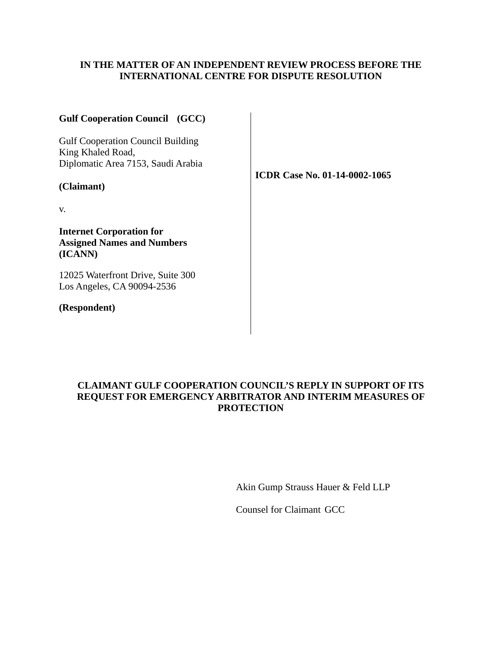### **IN THE MATTER OF AN INDEPENDENT REVIEW PROCESS BEFORE THE INTERNATIONAL CENTRE FOR DISPUTE RESOLUTION**

| <b>Gulf Cooperation Council</b> (GCC)                                           |                                      |
|---------------------------------------------------------------------------------|--------------------------------------|
| <b>Gulf Cooperation Council Building</b><br>King Khaled Road,                   |                                      |
| Diplomatic Area 7153, Saudi Arabia                                              | <b>ICDR Case No. 01-14-0002-1065</b> |
| (Claimant)                                                                      |                                      |
| V.                                                                              |                                      |
| <b>Internet Corporation for</b><br><b>Assigned Names and Numbers</b><br>(ICANN) |                                      |
| 12025 Waterfront Drive, Suite 300<br>Los Angeles, CA 90094-2536                 |                                      |
| (Respondent)                                                                    |                                      |
|                                                                                 |                                      |

# **CLAIMANT GULF COOPERATION COUNCIL'S REPLY IN SUPPORT OF ITS REQUEST FOR EMERGENCY ARBITRATOR AND INTERIM MEASURES OF PROTECTION**

Akin Gump Strauss Hauer & Feld LLP

Counsel for Claimant GCC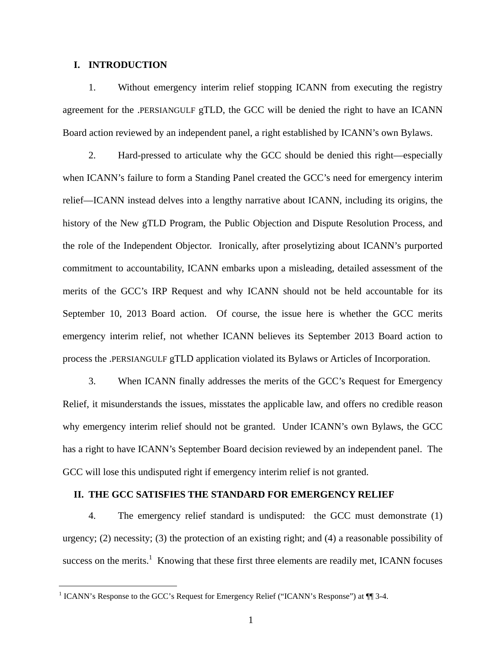#### **I. INTRODUCTION**

 $\overline{a}$ 

1. Without emergency interim relief stopping ICANN from executing the registry agreement for the .PERSIANGULF gTLD, the GCC will be denied the right to have an ICANN Board action reviewed by an independent panel, a right established by ICANN's own Bylaws.

2. Hard-pressed to articulate why the GCC should be denied this right—especially when ICANN's failure to form a Standing Panel created the GCC's need for emergency interim relief—ICANN instead delves into a lengthy narrative about ICANN, including its origins, the history of the New gTLD Program, the Public Objection and Dispute Resolution Process, and the role of the Independent Objector. Ironically, after proselytizing about ICANN's purported commitment to accountability, ICANN embarks upon a misleading, detailed assessment of the merits of the GCC's IRP Request and why ICANN should not be held accountable for its September 10, 2013 Board action. Of course, the issue here is whether the GCC merits emergency interim relief, not whether ICANN believes its September 2013 Board action to process the .PERSIANGULF gTLD application violated its Bylaws or Articles of Incorporation.

3. When ICANN finally addresses the merits of the GCC's Request for Emergency Relief, it misunderstands the issues, misstates the applicable law, and offers no credible reason why emergency interim relief should not be granted. Under ICANN's own Bylaws, the GCC has a right to have ICANN's September Board decision reviewed by an independent panel. The GCC will lose this undisputed right if emergency interim relief is not granted.

#### **II. THE GCC SATISFIES THE STANDARD FOR EMERGENCY RELIEF**

4. The emergency relief standard is undisputed: the GCC must demonstrate (1) urgency; (2) necessity; (3) the protection of an existing right; and (4) a reasonable possibility of success on the merits.<sup>1</sup> Knowing that these first three elements are readily met, ICANN focuses

<sup>&</sup>lt;sup>1</sup> ICANN's Response to the GCC's Request for Emergency Relief ("ICANN's Response") at  $\P$  3-4.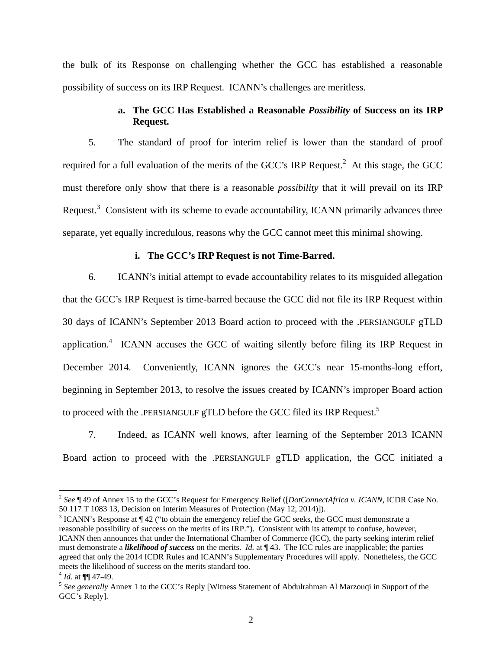the bulk of its Response on challenging whether the GCC has established a reasonable possibility of success on its IRP Request. ICANN's challenges are meritless.

### **a. The GCC Has Established a Reasonable** *Possibility* **of Success on its IRP Request.**

5. The standard of proof for interim relief is lower than the standard of proof required for a full evaluation of the merits of the GCC's IRP Request.<sup>2</sup> At this stage, the GCC must therefore only show that there is a reasonable *possibility* that it will prevail on its IRP Request.<sup>3</sup> Consistent with its scheme to evade accountability, ICANN primarily advances three separate, yet equally incredulous, reasons why the GCC cannot meet this minimal showing.

#### **i. The GCC's IRP Request is not Time-Barred.**

6. ICANN's initial attempt to evade accountability relates to its misguided allegation that the GCC's IRP Request is time-barred because the GCC did not file its IRP Request within 30 days of ICANN's September 2013 Board action to proceed with the .PERSIANGULF gTLD application.<sup>4</sup> ICANN accuses the GCC of waiting silently before filing its IRP Request in December 2014. Conveniently, ICANN ignores the GCC's near 15-months-long effort, beginning in September 2013, to resolve the issues created by ICANN's improper Board action to proceed with the .PERSIANGULF gTLD before the GCC filed its IRP Request.<sup>5</sup>

7. Indeed, as ICANN well knows, after learning of the September 2013 ICANN Board action to proceed with the .PERSIANGULF gTLD application, the GCC initiated a

 $\overline{a}$ 

<sup>2</sup> *See* ¶ 49 of Annex 15 to the GCC's Request for Emergency Relief ([*DotConnectAfrica v. ICANN*, ICDR Case No. 50 117 T 1083 13, Decision on Interim Measures of Protection (May 12, 2014)]).

 $3$  ICANN's Response at  $\P$  42 ("to obtain the emergency relief the GCC seeks, the GCC must demonstrate a reasonable possibility of success on the merits of its IRP."). Consistent with its attempt to confuse, however, ICANN then announces that under the International Chamber of Commerce (ICC), the party seeking interim relief must demonstrate a *likelihood of success* on the merits. *Id.* at ¶ 43. The ICC rules are inapplicable; the parties agreed that only the 2014 ICDR Rules and ICANN's Supplementary Procedures will apply. Nonetheless, the GCC meets the likelihood of success on the merits standard too.

<sup>&</sup>lt;sup>4</sup> *Id.* at ¶¶ 47-49.<br><sup>5</sup> *See generally* Annex 1 to the GCC's Reply [Witness Statement of Abdulrahman Al Marzouqi in Support of the GCC's Reply].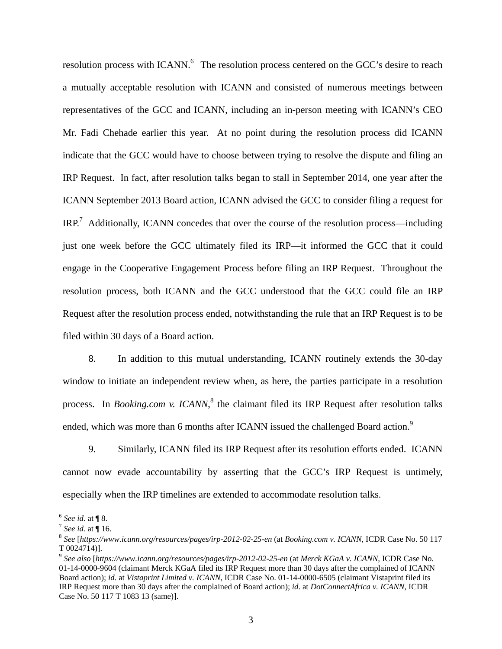resolution process with ICANN.<sup>6</sup> The resolution process centered on the GCC's desire to reach a mutually acceptable resolution with ICANN and consisted of numerous meetings between representatives of the GCC and ICANN, including an in-person meeting with ICANN's CEO Mr. Fadi Chehade earlier this year. At no point during the resolution process did ICANN indicate that the GCC would have to choose between trying to resolve the dispute and filing an IRP Request. In fact, after resolution talks began to stall in September 2014, one year after the ICANN September 2013 Board action, ICANN advised the GCC to consider filing a request for IRP.<sup>7</sup> Additionally, ICANN concedes that over the course of the resolution process—including just one week before the GCC ultimately filed its IRP—it informed the GCC that it could engage in the Cooperative Engagement Process before filing an IRP Request. Throughout the resolution process, both ICANN and the GCC understood that the GCC could file an IRP Request after the resolution process ended, notwithstanding the rule that an IRP Request is to be filed within 30 days of a Board action.

8. In addition to this mutual understanding, ICANN routinely extends the 30-day window to initiate an independent review when, as here, the parties participate in a resolution process. In *Booking.com v. ICANN*,<sup>8</sup> the claimant filed its IRP Request after resolution talks ended, which was more than 6 months after ICANN issued the challenged Board action.<sup>9</sup>

9. Similarly, ICANN filed its IRP Request after its resolution efforts ended. ICANN cannot now evade accountability by asserting that the GCC's IRP Request is untimely, especially when the IRP timelines are extended to accommodate resolution talks.

1

<sup>6</sup> *See id.* at ¶ 8. 7 *See id.* at ¶ 16. 8 *See* [*https://www.icann.org/resources/pages/irp-2012-02-25-en* (at *Booking.com v. ICANN,* ICDR Case No. 50 117 T 0024714)].

<sup>9</sup> *See also* [*https://www.icann.org/resources/pages/irp-2012-02-25-en* (at *Merck KGaA v. ICANN,* ICDR Case No. 01-14-0000-9604 (claimant Merck KGaA filed its IRP Request more than 30 days after the complained of ICANN Board action); *id.* at *Vistaprint Limited v. ICANN,* ICDR Case No. 01-14-0000-6505 (claimant Vistaprint filed its IRP Request more than 30 days after the complained of Board action); *id*. at *DotConnectAfrica v. ICANN*, ICDR Case No. 50 117 T 1083 13 (same)].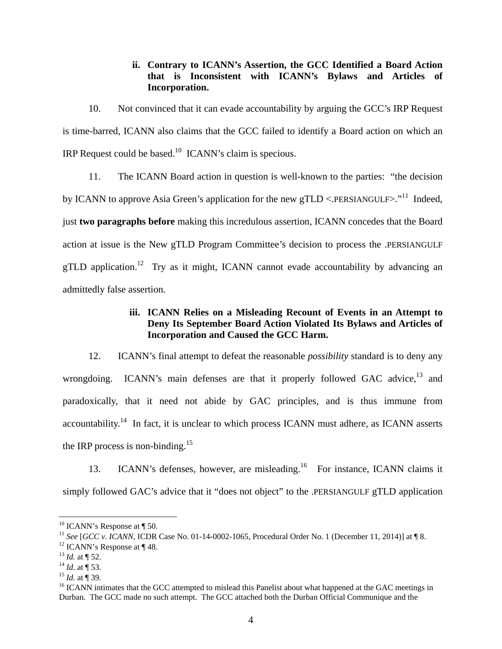### **ii. Contrary to ICANN's Assertion, the GCC Identified a Board Action that is Inconsistent with ICANN's Bylaws and Articles of Incorporation.**

10. Not convinced that it can evade accountability by arguing the GCC's IRP Request is time-barred, ICANN also claims that the GCC failed to identify a Board action on which an IRP Request could be based.10 ICANN's claim is specious.

11. The ICANN Board action in question is well-known to the parties: "the decision by ICANN to approve Asia Green's application for the new gTLD <. PERSIANGULF>."<sup>11</sup> Indeed, just **two paragraphs before** making this incredulous assertion, ICANN concedes that the Board action at issue is the New gTLD Program Committee's decision to process the .PERSIANGULF gTLD application.<sup>12</sup> Try as it might, ICANN cannot evade accountability by advancing an admittedly false assertion.

## **iii. ICANN Relies on a Misleading Recount of Events in an Attempt to Deny Its September Board Action Violated Its Bylaws and Articles of Incorporation and Caused the GCC Harm.**

12. ICANN's final attempt to defeat the reasonable *possibility* standard is to deny any wrongdoing. ICANN's main defenses are that it properly followed GAC advice, $13$  and paradoxically, that it need not abide by GAC principles, and is thus immune from accountability.<sup>14</sup> In fact, it is unclear to which process ICANN must adhere, as ICANN asserts the IRP process is non-binding.<sup>15</sup>

13. ICANN's defenses, however, are misleading.<sup>16</sup> For instance, ICANN claims it simply followed GAC's advice that it "does not object" to the .PERSIANGULF gTLD application

 $\overline{a}$ 

 $10$  ICANN's Response at  $\P$  50.

<sup>&</sup>lt;sup>11</sup> *See* [*GCC v. ICANN*, ICDR Case No. 01-14-0002-1065, Procedural Order No. 1 (December 11, 2014)] at  $\P 8$ .<br><sup>12</sup> ICANN's Response at  $\P 48$ .

<sup>&</sup>lt;sup>13</sup> *Id.* at ¶ 52.<br><sup>14</sup> *Id.* at ¶ 53.<br><sup>15</sup> *Id.* at ¶ 39.<br><sup>16</sup> ICANN intimates that the GCC attempted to mislead this Panelist about what happened at the GAC meetings in Durban. The GCC made no such attempt. The GCC attached both the Durban Official Communique and the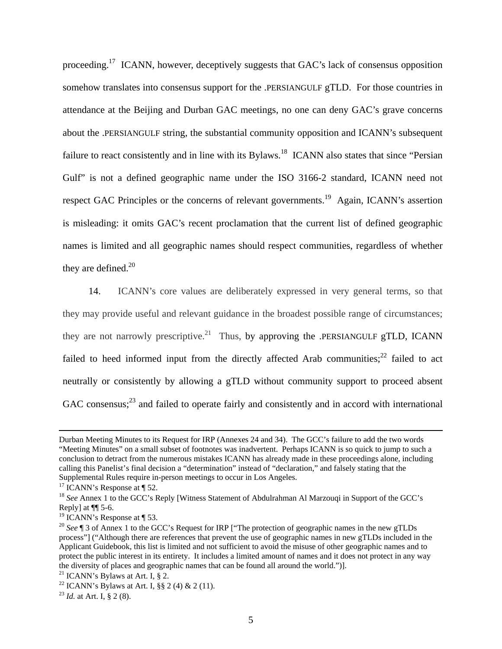proceeding.17 ICANN, however, deceptively suggests that GAC's lack of consensus opposition somehow translates into consensus support for the .PERSIANGULF gTLD. For those countries in attendance at the Beijing and Durban GAC meetings, no one can deny GAC's grave concerns about the .PERSIANGULF string, the substantial community opposition and ICANN's subsequent failure to react consistently and in line with its Bylaws.<sup>18</sup> ICANN also states that since "Persian" Gulf" is not a defined geographic name under the ISO 3166-2 standard, ICANN need not respect GAC Principles or the concerns of relevant governments.<sup>19</sup> Again, ICANN's assertion is misleading: it omits GAC's recent proclamation that the current list of defined geographic names is limited and all geographic names should respect communities, regardless of whether they are defined. $20$ 

14. ICANN's core values are deliberately expressed in very general terms, so that they may provide useful and relevant guidance in the broadest possible range of circumstances; they are not narrowly prescriptive.<sup>21</sup> Thus, by approving the .PERSIANGULF gTLD, ICANN failed to heed informed input from the directly affected Arab communities; $^{22}$  failed to act neutrally or consistently by allowing a gTLD without community support to proceed absent GAC consensus;<sup>23</sup> and failed to operate fairly and consistently and in accord with international

Durban Meeting Minutes to its Request for IRP (Annexes 24 and 34). The GCC's failure to add the two words "Meeting Minutes" on a small subset of footnotes was inadvertent. Perhaps ICANN is so quick to jump to such a conclusion to detract from the numerous mistakes ICANN has already made in these proceedings alone, including calling this Panelist's final decision a "determination" instead of "declaration," and falsely stating that the Supplemental Rules require in-person meetings to occur in Los Angeles.

<sup>&</sup>lt;sup>17</sup> ICANN's Response at  $\P$  52.

<sup>&</sup>lt;sup>18</sup> See Annex 1 to the GCC's Reply [Witness Statement of Abdulrahman Al Marzouqi in Support of the GCC's Reply] at ¶¶ 5-6.

<sup>&</sup>lt;sup>19</sup> ICANN's Response at  $\P$  53.

<sup>&</sup>lt;sup>20</sup> See ¶ 3 of Annex 1 to the GCC's Request for IRP ["The protection of geographic names in the new gTLDs process"] ("Although there are references that prevent the use of geographic names in new gTLDs included in the Applicant Guidebook, this list is limited and not sufficient to avoid the misuse of other geographic names and to protect the public interest in its entirety. It includes a limited amount of names and it does not protect in any way the diversity of places and geographic names that can be found all around the world.")]. 21 ICANN's Bylaws at Art. I, § 2.

<sup>&</sup>lt;sup>22</sup> ICANN's Bylaws at Art. I, §§ 2 (4) & 2 (11).

<sup>23</sup> *Id.* at Art. I, § 2 (8).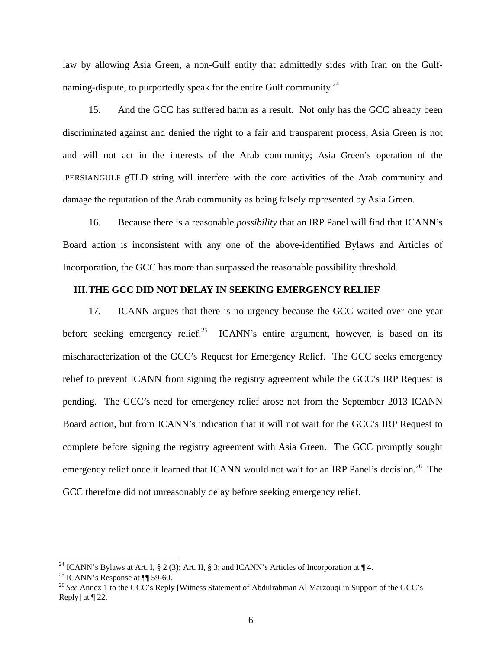law by allowing Asia Green, a non-Gulf entity that admittedly sides with Iran on the Gulfnaming-dispute, to purportedly speak for the entire Gulf community.<sup>24</sup>

15. And the GCC has suffered harm as a result. Not only has the GCC already been discriminated against and denied the right to a fair and transparent process, Asia Green is not and will not act in the interests of the Arab community; Asia Green's operation of the .PERSIANGULF gTLD string will interfere with the core activities of the Arab community and damage the reputation of the Arab community as being falsely represented by Asia Green.

16. Because there is a reasonable *possibility* that an IRP Panel will find that ICANN's Board action is inconsistent with any one of the above-identified Bylaws and Articles of Incorporation, the GCC has more than surpassed the reasonable possibility threshold.

# **III.THE GCC DID NOT DELAY IN SEEKING EMERGENCY RELIEF**

17. ICANN argues that there is no urgency because the GCC waited over one year before seeking emergency relief.<sup>25</sup> ICANN's entire argument, however, is based on its mischaracterization of the GCC's Request for Emergency Relief. The GCC seeks emergency relief to prevent ICANN from signing the registry agreement while the GCC's IRP Request is pending. The GCC's need for emergency relief arose not from the September 2013 ICANN Board action, but from ICANN's indication that it will not wait for the GCC's IRP Request to complete before signing the registry agreement with Asia Green. The GCC promptly sought emergency relief once it learned that ICANN would not wait for an IRP Panel's decision.<sup>26</sup> The GCC therefore did not unreasonably delay before seeking emergency relief.

1

<sup>&</sup>lt;sup>24</sup> ICANN's Bylaws at Art. I, § 2 (3); Art. II, § 3; and ICANN's Articles of Incorporation at  $\P$  4.<br><sup>25</sup> ICANN's Response at  $\P$  59-60.

<sup>&</sup>lt;sup>26</sup> See Annex 1 to the GCC's Reply [Witness Statement of Abdulrahman Al Marzouqi in Support of the GCC's Reply] at ¶ 22.